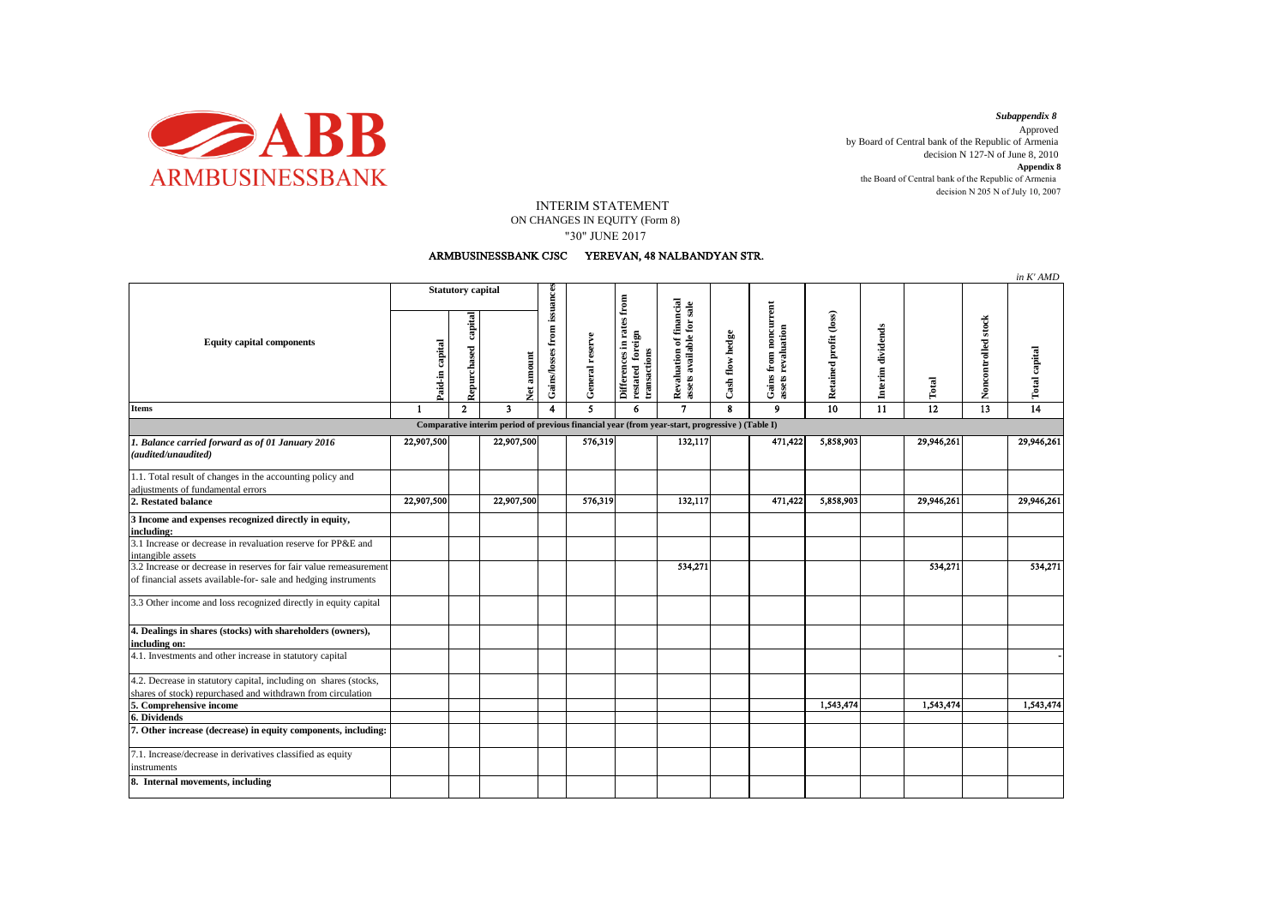

decision N 205 N of July 10, 2007 *Subappendix 8*  Approved by Board of Central bank of the Republic of Armenia decision N 127-N of June 8, 2010 **Appendix 8** the Board of Central bank of the Republic of Armenia

## INTERIM STATEMENT

ON CHANGES IN EQUITY (Form 8) "30" JUNE 2017

## ARMBUSINESSBANK CJSC YEREVAN, 48 NALBANDYAN STR.

|                                                                                                                                      |                          |                        |                         |                             |                 |                                                               |                                                       |                         |                                                |                        |                   |            |                     | in K'AMD             |
|--------------------------------------------------------------------------------------------------------------------------------------|--------------------------|------------------------|-------------------------|-----------------------------|-----------------|---------------------------------------------------------------|-------------------------------------------------------|-------------------------|------------------------------------------------|------------------------|-------------------|------------|---------------------|----------------------|
| <b>Equity capital components</b>                                                                                                     | <b>Statutory capital</b> |                        |                         |                             |                 |                                                               |                                                       |                         |                                                |                        |                   |            |                     |                      |
|                                                                                                                                      | Paid-in capital          | capital<br>Repurchased | amount<br><b>z</b>      | Gains/losses from issuances | General reserve | Differences in rates from<br>restated foreign<br>transactions | Revaluation of financial<br>assets available for sale | Cash flow hedge         | noncurrent<br>assets revaluation<br>Gains from | Retained profit (loss) | Interim dividends | Total      | Noncontrolled stock | <b>Total capital</b> |
| <b>Items</b>                                                                                                                         | $\mathbf{1}$             | $\mathbf{2}$           | $\overline{\mathbf{3}}$ | 4                           | 5               | 6                                                             | $\mathbf{7}$                                          | $\overline{\mathbf{g}}$ | $\mathbf{Q}$                                   | $\overline{10}$        | $\overline{11}$   | 12         | $\overline{13}$     | $\overline{14}$      |
| Comparative interim period of previous financial year (from year-start, progressive) (Table I)                                       |                          |                        |                         |                             |                 |                                                               |                                                       |                         |                                                |                        |                   |            |                     |                      |
| 1. Balance carried forward as of 01 January 2016<br>(audited/unaudited)                                                              | 22,907,500               |                        | 22,907,500              |                             | 576,319         |                                                               | 132,117                                               |                         | 471,422                                        | 5,858,903              |                   | 29,946,261 |                     | 29,946,261           |
| 1.1. Total result of changes in the accounting policy and<br>adjustments of fundamental errors                                       |                          |                        |                         |                             |                 |                                                               |                                                       |                         |                                                |                        |                   |            |                     |                      |
| 2. Restated balance                                                                                                                  | 22,907,500               |                        | 22,907,500              |                             | 576,319         |                                                               | 132,117                                               |                         | 471,422                                        | 5,858,903              |                   | 29,946,261 |                     | 29,946,261           |
| 3 Income and expenses recognized directly in equity,<br>including:                                                                   |                          |                        |                         |                             |                 |                                                               |                                                       |                         |                                                |                        |                   |            |                     |                      |
| 3.1 Increase or decrease in revaluation reserve for PP&E and<br>intangible assets                                                    |                          |                        |                         |                             |                 |                                                               |                                                       |                         |                                                |                        |                   |            |                     |                      |
| 3.2 Increase or decrease in reserves for fair value remeasurement<br>of financial assets available-for- sale and hedging instruments |                          |                        |                         |                             |                 |                                                               | 534,271                                               |                         |                                                |                        |                   | 534,271    |                     | 534,271              |
| 3.3 Other income and loss recognized directly in equity capital                                                                      |                          |                        |                         |                             |                 |                                                               |                                                       |                         |                                                |                        |                   |            |                     |                      |
| 4. Dealings in shares (stocks) with shareholders (owners),<br>including on:                                                          |                          |                        |                         |                             |                 |                                                               |                                                       |                         |                                                |                        |                   |            |                     |                      |
| 4.1. Investments and other increase in statutory capital                                                                             |                          |                        |                         |                             |                 |                                                               |                                                       |                         |                                                |                        |                   |            |                     |                      |
| 4.2. Decrease in statutory capital, including on shares (stocks,<br>shares of stock) repurchased and withdrawn from circulation      |                          |                        |                         |                             |                 |                                                               |                                                       |                         |                                                |                        |                   |            |                     |                      |
| 5. Comprehensive income                                                                                                              |                          |                        |                         |                             |                 |                                                               |                                                       |                         |                                                | 1,543,474              |                   | 1,543,474  |                     | 1,543,474            |
| 6. Dividends<br>7. Other increase (decrease) in equity components, including:                                                        |                          |                        |                         |                             |                 |                                                               |                                                       |                         |                                                |                        |                   |            |                     |                      |
| 7.1. Increase/decrease in derivatives classified as equity<br>instruments                                                            |                          |                        |                         |                             |                 |                                                               |                                                       |                         |                                                |                        |                   |            |                     |                      |
| 8. Internal movements, including                                                                                                     |                          |                        |                         |                             |                 |                                                               |                                                       |                         |                                                |                        |                   |            |                     |                      |